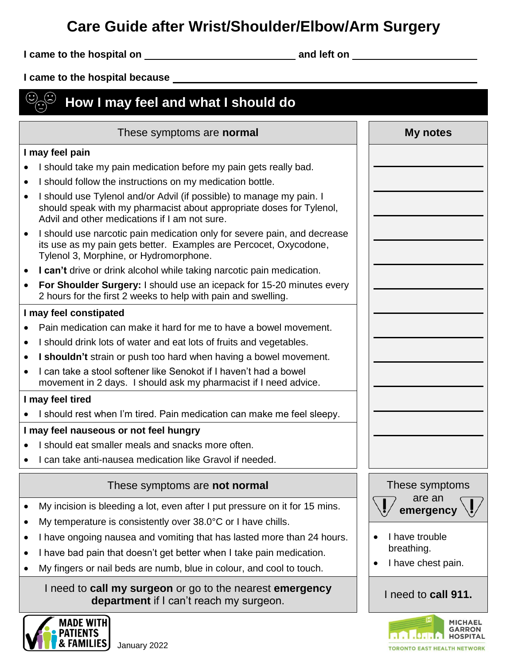# **Care Guide after Wrist/Shoulder/Elbow/Arm Surgery**

**I came to the hospital on and left on** 

**I came to the hospital because** 

## $\bigodot$  $\circledS$  How I may feel and what I should do

| These symptoms are normal                                                                                                                                                                                                                                                                                                                                             | My notes                                                                                                                                    |
|-----------------------------------------------------------------------------------------------------------------------------------------------------------------------------------------------------------------------------------------------------------------------------------------------------------------------------------------------------------------------|---------------------------------------------------------------------------------------------------------------------------------------------|
| I may feel pain                                                                                                                                                                                                                                                                                                                                                       |                                                                                                                                             |
| I should take my pain medication before my pain gets really bad.<br>I should follow the instructions on my medication bottle.                                                                                                                                                                                                                                         |                                                                                                                                             |
| I should use Tylenol and/or Advil (if possible) to manage my pain. I<br>should speak with my pharmacist about appropriate doses for Tylenol,<br>Advil and other medications if I am not sure.                                                                                                                                                                         |                                                                                                                                             |
| I should use narcotic pain medication only for severe pain, and decrease<br>$\bullet$<br>its use as my pain gets better. Examples are Percocet, Oxycodone,<br>Tylenol 3, Morphine, or Hydromorphone.                                                                                                                                                                  |                                                                                                                                             |
| I can't drive or drink alcohol while taking narcotic pain medication.<br>$\bullet$                                                                                                                                                                                                                                                                                    |                                                                                                                                             |
| For Shoulder Surgery: I should use an icepack for 15-20 minutes every<br>$\bullet$<br>2 hours for the first 2 weeks to help with pain and swelling.                                                                                                                                                                                                                   |                                                                                                                                             |
| I may feel constipated                                                                                                                                                                                                                                                                                                                                                |                                                                                                                                             |
| Pain medication can make it hard for me to have a bowel movement.                                                                                                                                                                                                                                                                                                     |                                                                                                                                             |
| I should drink lots of water and eat lots of fruits and vegetables.                                                                                                                                                                                                                                                                                                   |                                                                                                                                             |
| I shouldn't strain or push too hard when having a bowel movement.                                                                                                                                                                                                                                                                                                     |                                                                                                                                             |
| I can take a stool softener like Senokot if I haven't had a bowel<br>movement in 2 days. I should ask my pharmacist if I need advice.                                                                                                                                                                                                                                 |                                                                                                                                             |
| I may feel tired                                                                                                                                                                                                                                                                                                                                                      |                                                                                                                                             |
| I should rest when I'm tired. Pain medication can make me feel sleepy.                                                                                                                                                                                                                                                                                                |                                                                                                                                             |
| I may feel nauseous or not feel hungry                                                                                                                                                                                                                                                                                                                                |                                                                                                                                             |
| I should eat smaller meals and snacks more often.                                                                                                                                                                                                                                                                                                                     |                                                                                                                                             |
| I can take anti-nausea medication like Gravol if needed.                                                                                                                                                                                                                                                                                                              |                                                                                                                                             |
| These symptoms are not normal                                                                                                                                                                                                                                                                                                                                         | These symptoms                                                                                                                              |
| My incision is bleeding a lot, even after I put pressure on it for 15 mins.<br>My temperature is consistently over 38.0°C or I have chills.<br>I have ongoing nausea and vomiting that has lasted more than 24 hours.<br>I have bad pain that doesn't get better when I take pain medication.<br>My fingers or nail beds are numb, blue in colour, and cool to touch. | are an<br>$\overline{\phantom{0}}$<br>$($ $\blacksquare$ )<br>emergency $\setminus$ !<br>I have trouble<br>breathing.<br>I have chest pain. |
| I need to call my surgeon or go to the nearest emergency<br>department if I can't reach my surgeon.                                                                                                                                                                                                                                                                   | I need to call 911.                                                                                                                         |



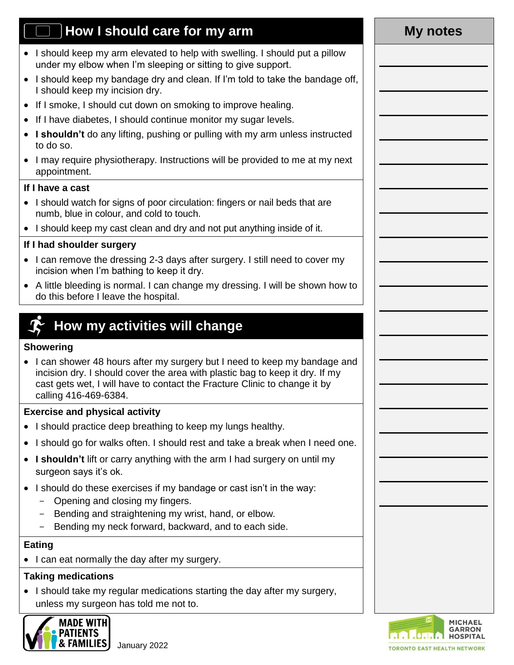# **How I should care for my arm My notes**

- I should keep my arm elevated to help with swelling. I should put a pillow under my elbow when I'm sleeping or sitting to give support.
- I should keep my bandage dry and clean. If I'm told to take the bandage off. I should keep my incision dry.
- If I smoke, I should cut down on smoking to improve healing.
- If I have diabetes, I should continue monitor my sugar levels.
- **I shouldn't** do any lifting, pushing or pulling with my arm unless instructed to do so.
- I may require physiotherapy. Instructions will be provided to me at my next appointment.

#### **If I have a cast**

- I should watch for signs of poor circulation: fingers or nail beds that are numb, blue in colour, and cold to touch.
- I should keep my cast clean and dry and not put anything inside of it.

### **If I had shoulder surgery**

- I can remove the dressing 2-3 days after surgery. I still need to cover my incision when I'm bathing to keep it dry.
- A little bleeding is normal. I can change my dressing. I will be shown how to do this before I leave the hospital.

# **How my activities will change**

#### **Showering**

• I can shower 48 hours after my surgery but I need to keep my bandage and incision dry. I should cover the area with plastic bag to keep it dry. If my cast gets wet, I will have to contact the Fracture Clinic to change it by calling 416-469-6384.

#### **Exercise and physical activity**

- I should practice deep breathing to keep my lungs healthy.
- I should go for walks often. I should rest and take a break when I need one.
- **I shouldn't** lift or carry anything with the arm I had surgery on until my surgeon says it's ok.
- I should do these exercises if my bandage or cast isn't in the way:
	- Opening and closing my fingers.
	- Bending and straightening my wrist, hand, or elbow.
	- Bending my neck forward, backward, and to each side.

#### **Eating**

• I can eat normally the day after my surgery.

#### **Taking medications**

• I should take my regular medications starting the day after my surgery, unless my surgeon has told me not to.